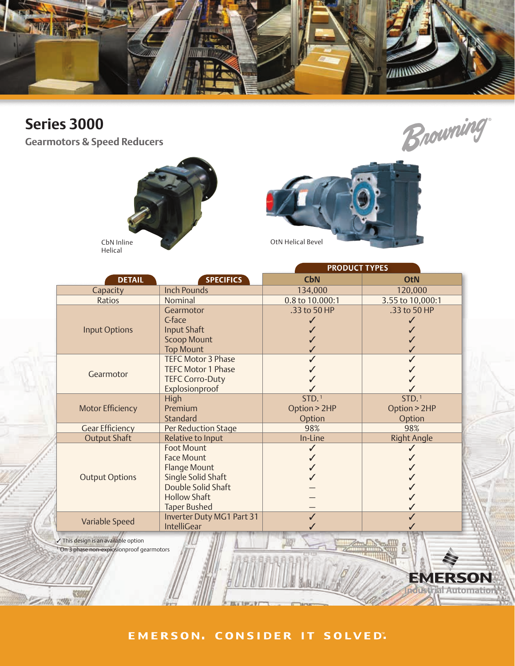

# **Series 3000**

**Gearmotors & Speed Reducers**





**SON** 

Automation

E)

Helical

|                         |                                                                                                                                                         | <b>PRODUCT TYPES</b>                        |                                             |  |  |  |  |  |  |
|-------------------------|---------------------------------------------------------------------------------------------------------------------------------------------------------|---------------------------------------------|---------------------------------------------|--|--|--|--|--|--|
| <b>DETAIL</b>           | <b>SPECIFICS</b>                                                                                                                                        | <b>CbN</b>                                  | <b>OtN</b>                                  |  |  |  |  |  |  |
| Capacity                | <b>Inch Pounds</b>                                                                                                                                      | 134,000                                     | 120,000                                     |  |  |  |  |  |  |
| Ratios                  | Nominal                                                                                                                                                 | 0.8 to 10.000:1                             | 3.55 to 10,000:1                            |  |  |  |  |  |  |
| <b>Input Options</b>    | Gearmotor<br>C-face<br><b>Input Shaft</b><br><b>Scoop Mount</b><br><b>Top Mount</b>                                                                     | .33 to 50 HP                                | .33 to 50 HP                                |  |  |  |  |  |  |
| Gearmotor               | <b>TEFC Motor 3 Phase</b><br><b>TEFC Motor 1 Phase</b><br><b>TEFC Corro-Duty</b><br>Explosionproof                                                      |                                             |                                             |  |  |  |  |  |  |
| <b>Motor Efficiency</b> | High<br>Premium<br>Standard                                                                                                                             | STD. <sup>1</sup><br>Option > 2HP<br>Option | STD. <sup>1</sup><br>Option > 2HP<br>Option |  |  |  |  |  |  |
| <b>Gear Efficiency</b>  | Per Reduction Stage                                                                                                                                     | 98%                                         | 98%                                         |  |  |  |  |  |  |
| <b>Output Shaft</b>     | Relative to Input                                                                                                                                       | In-Line                                     | <b>Right Angle</b>                          |  |  |  |  |  |  |
| <b>Output Options</b>   | <b>Foot Mount</b><br><b>Face Mount</b><br><b>Flange Mount</b><br>Single Solid Shaft<br>Double Solid Shaft<br><b>Hollow Shaft</b><br><b>Taper Bushed</b> |                                             |                                             |  |  |  |  |  |  |
| Variable Speed          | Inverter Duty MG1 Part 31<br><b>IntelliGear</b>                                                                                                         |                                             |                                             |  |  |  |  |  |  |

 $\checkmark$  This design is an available option **On 3 phase non-explosionproof gearmotors** 

#### EMERSON. CONSIDER IT SOLVED.